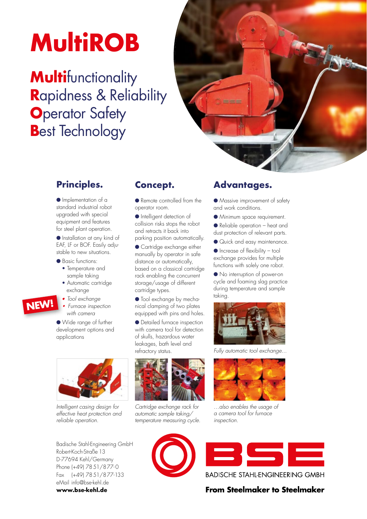# **MultiROB**

### **Multifunctionality R**apidness & Reliability **O**perator Safety **B**est Technology



#### **Principles.**

● Implementation of a standard industrial robot upgraded with special equipment and features for steel plant operation.

● Installation at any kind of EAF, LF or BOF. Easily adjustable to new situations.

● Basic functions:

- Temperature and sample taking
- Automatic cartridge exchange
- *Tool exchange*

 **•** *Furnace inspection with camera*

● Wide range of further development options and applications



*Intelligent casing design for effective heat protection and reliable operation.*

Badische Stahl-Engineering GmbH Robert-Koch-Straße 13 D-77694 Kehl/Germany Phone (+49) 7851/877-0 Fax (+49) 7851/877-133 eMail info@bse-kehl.de **www.bse-kehl.de**

#### **Concept.**

● Remote controlled from the operator room.

● Intelligent detection of collision risks stops the robot and retracts it back into parking position automatically.

● Cartridge exchange either manually by operator in safe distance or automatically, based on a classical cartridge rack enabling the concurrent storage/usage of different cartridge types.

● Tool exchange by mechanical clamping of two plates equipped with pins and holes.

● Detailed furnace inspection with camera tool for detection of skulls, hazardous water leakages, bath level and refractory status.



*Cartridge exchange rack for automatic sample taking/ temperature measuring cycle.*



#### **Advantages.**

● Massive improvement of safety and work conditions.

- Minimum space requirement.
- Reliable operation heat and dust protection of relevant parts.
- Quick and easy maintenance.

 $\bullet$  Increase of flexibility – tool exchange provides for multiple functions with solely one robot.

● No interruption of power-on cycle and foaming slag practice during temperature and sample taking.



*Fully automatic tool exchange...* 



*…also enables the usage of a camera tool for furnace inspection.*



**BADISCHE STAHL-ENGINEERING GMBH** 

#### **From Steelmaker to Steelmaker**

**NEW!**